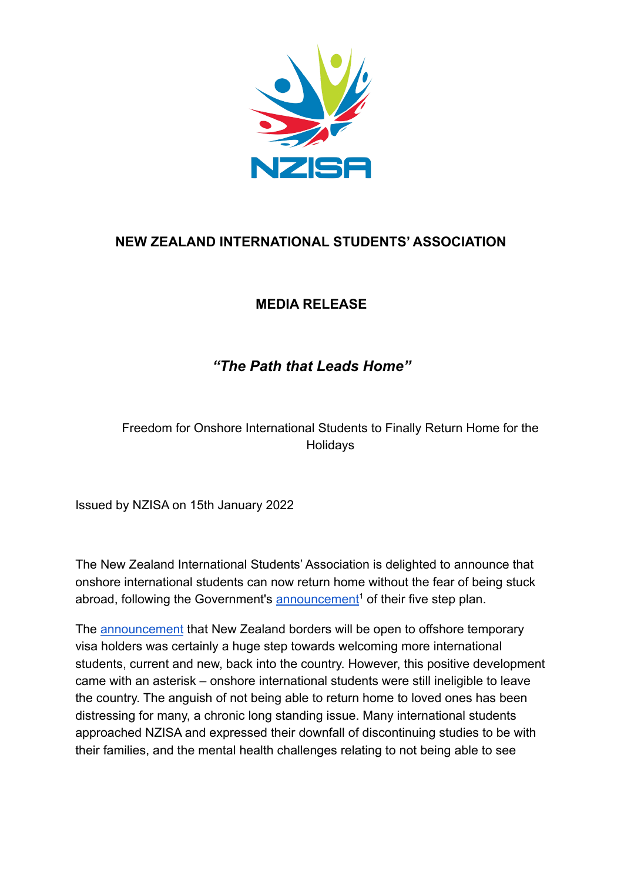

## **NEW ZEALAND INTERNATIONAL STUDENTS' ASSOCIATION**

## **MEDIA RELEASE**

## *"The Path that Leads Home"*

Freedom for Onshore International Students to Finally Return Home for the Holidays

Issued by NZISA on 15th January 2022

The New Zealand International Students' Association is delighted to announce that onshore international students can now return home without the fear of being stuck abroad, following the Government's [announcement](https://www.immigration.govt.nz/about-us/covid-19/border-closures-and-exceptions/entry-to-new-zealand/border-entry-requirements)<sup>1</sup> of their five step plan.

The [announcement](https://www.beehive.govt.nz/release/border-reopen-stages-27-february) that New Zealand borders will be open to offshore temporary visa holders was certainly a huge step towards welcoming more international students, current and new, back into the country. However, this positive development came with an asterisk – onshore international students were still ineligible to leave the country. The anguish of not being able to return home to loved ones has been distressing for many, a chronic long standing issue. Many international students approached NZISA and expressed their downfall of discontinuing studies to be with their families, and the mental health challenges relating to not being able to see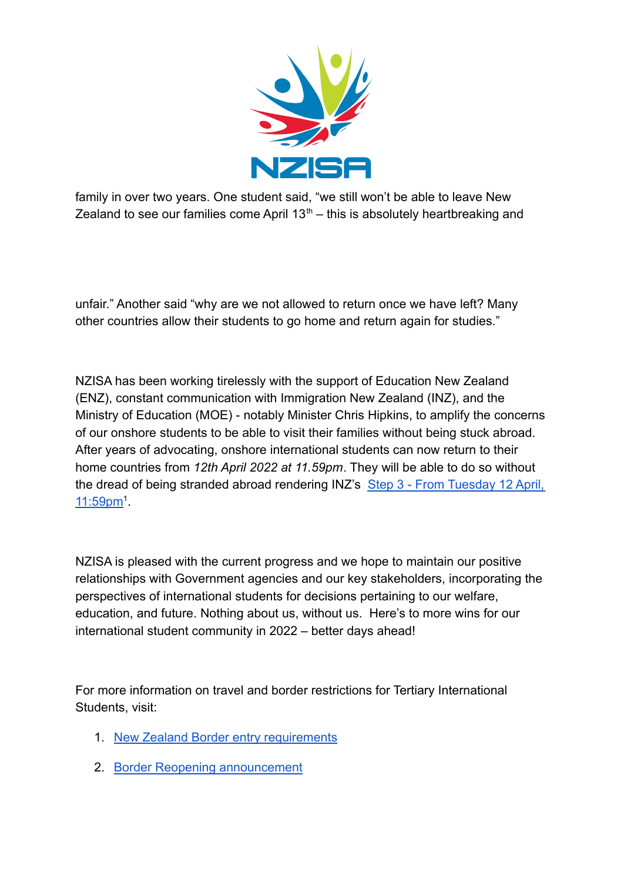

family in over two years. One student said, "we still won't be able to leave New Zealand to see our families come April  $13<sup>th</sup>$  – this is absolutely heartbreaking and

unfair." Another said "why are we not allowed to return once we have left? Many other countries allow their students to go home and return again for studies."

NZISA has been working tirelessly with the support of Education New Zealand (ENZ), constant communication with Immigration New Zealand (INZ), and the Ministry of Education (MOE) - notably Minister Chris Hipkins, to amplify the concerns of our onshore students to be able to visit their families without being stuck abroad. After years of advocating, onshore international students can now return to their home countries from *12th April 2022 at 11.59pm*. They will be able to do so without the dread of being stranded abroad rendering INZ's [Step 3 - From Tuesday 12 April,](https://www.immigration.govt.nz/about-us/covid-19/border-closures-and-exceptions/entry-to-new-zealand/border-entry-requirements) [11:59pm](https://www.immigration.govt.nz/about-us/covid-19/border-closures-and-exceptions/entry-to-new-zealand/border-entry-requirements)<sup>1</sup>.

NZISA is pleased with the current progress and we hope to maintain our positive relationships with Government agencies and our key stakeholders, incorporating the perspectives of international students for decisions pertaining to our welfare, education, and future. Nothing about us, without us. Here's to more wins for our international student community in 2022 – better days ahead!

For more information on travel and border restrictions for Tertiary International Students, visit:

- 1. [New Zealand Border entry requirements](https://www.immigration.govt.nz/about-us/covid-19/border-closures-and-exceptions/entry-to-new-zealand/border-entry-requirements)
- 2. [Border Reopening announcement](https://www.beehive.govt.nz/release/border-reopen-stages-27-february)